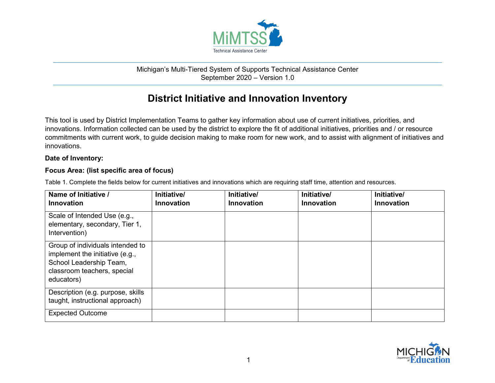

## Michigan's Multi-Tiered System of Supports Technical Assistance Center September 2020 – Version 1.0

## **District Initiative and Innovation Inventory**

This tool is used by District Implementation Teams to gather key information about use of current initiatives, priorities, and innovations. Information collected can be used by the district to explore the fit of additional initiatives, priorities and / or resource commitments with current work, to guide decision making to make room for new work, and to assist with alignment of initiatives and innovations.

## **Date of Inventory:**

## **Focus Area: (list specific area of focus)**

| Name of Initiative /<br><b>Innovation</b>                                                                                                   | Initiative/<br><b>Innovation</b> | Initiative/<br><b>Innovation</b> | Initiative/<br><b>Innovation</b> | Initiative/<br><b>Innovation</b> |
|---------------------------------------------------------------------------------------------------------------------------------------------|----------------------------------|----------------------------------|----------------------------------|----------------------------------|
| Scale of Intended Use (e.g.,<br>elementary, secondary, Tier 1,<br>Intervention)                                                             |                                  |                                  |                                  |                                  |
| Group of individuals intended to<br>implement the initiative (e.g.,<br>School Leadership Team,<br>classroom teachers, special<br>educators) |                                  |                                  |                                  |                                  |
| Description (e.g. purpose, skills<br>taught, instructional approach)                                                                        |                                  |                                  |                                  |                                  |
| <b>Expected Outcome</b>                                                                                                                     |                                  |                                  |                                  |                                  |

Table 1. Complete the fields below for current initiatives and innovations which are requiring staff time, attention and resources.